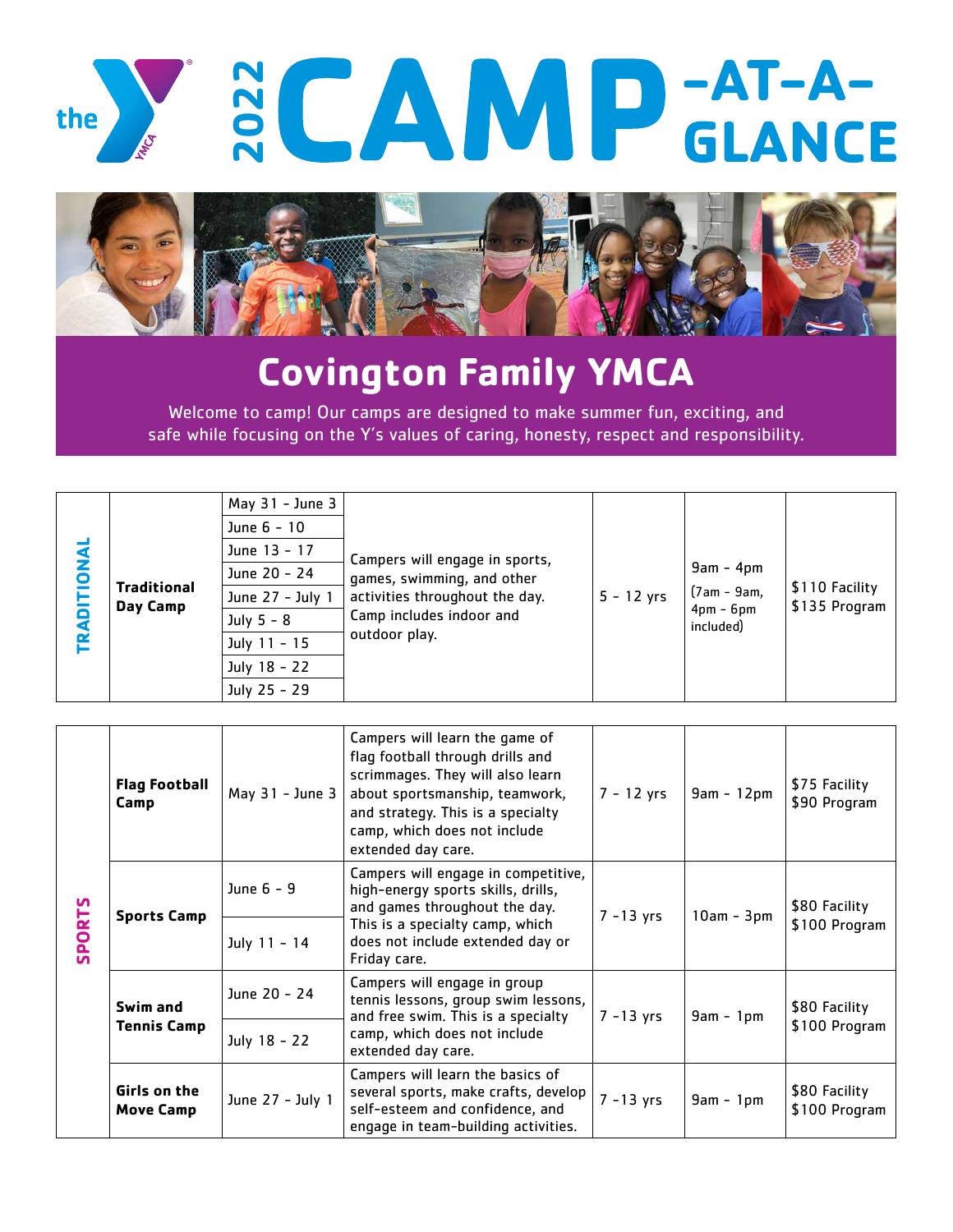



## **Covington Family YMCA**

Welcome to camp! Our camps are designed to make summer fun, exciting, and safe while focusing on the Y's values of caring, honesty, respect and responsibility.

| <b>DNAL</b><br><b>RAD</b><br>⊨ | <b>Traditional</b><br>Day Camp | May $31 -$ June $3$<br>June 6 - 10<br>June 13 - 17<br>June 20 - 24<br>June 27 - July 1<br>July $5 - 8$<br>July 11 - 15<br>July 18 - 22<br>July 25 - 29 | Campers will engage in sports,<br>games, swimming, and other<br>activities throughout the day.<br>Camp includes indoor and<br>outdoor play. | $5 - 12$ yrs | $9am - 4pm$<br>$(7am - 9am,$<br>$4pm - 6pm$<br>included) | \$110 Facility<br>\$135 Program |
|--------------------------------|--------------------------------|--------------------------------------------------------------------------------------------------------------------------------------------------------|---------------------------------------------------------------------------------------------------------------------------------------------|--------------|----------------------------------------------------------|---------------------------------|
|--------------------------------|--------------------------------|--------------------------------------------------------------------------------------------------------------------------------------------------------|---------------------------------------------------------------------------------------------------------------------------------------------|--------------|----------------------------------------------------------|---------------------------------|

| <b>SPORTS</b> | <b>Flag Football</b><br>Camp     | May 31 - June 3              | Campers will learn the game of<br>flag football through drills and<br>scrimmages. They will also learn<br>about sportsmanship, teamwork,<br>and strategy. This is a specialty<br>camp, which does not include<br>extended day care. | $7 - 12$ yrs | $9am - 12pm$ | \$75 Facility<br>\$90 Program  |
|---------------|----------------------------------|------------------------------|-------------------------------------------------------------------------------------------------------------------------------------------------------------------------------------------------------------------------------------|--------------|--------------|--------------------------------|
|               | <b>Sports Camp</b>               | June 6 - 9<br>July 11 - 14   | Campers will engage in competitive,<br>high-energy sports skills, drills,<br>and games throughout the day.<br>This is a specialty camp, which<br>does not include extended day or<br>Friday care.                                   | $7 - 13$ yrs | $10am - 3pm$ | \$80 Facility<br>\$100 Program |
|               | Swim and<br><b>Tennis Camp</b>   | June 20 - 24<br>July 18 - 22 | Campers will engage in group<br>tennis lessons, group swim lessons,<br>and free swim. This is a specialty<br>camp, which does not include<br>extended day care.                                                                     | $7 - 13$ yrs | $9am - 1pm$  | \$80 Facility<br>\$100 Program |
|               | Girls on the<br><b>Move Camp</b> | June 27 - July 1             | Campers will learn the basics of<br>several sports, make crafts, develop<br>self-esteem and confidence, and<br>engage in team-building activities.                                                                                  | $7 - 13$ yrs | $9am - 1pm$  | \$80 Facility<br>\$100 Program |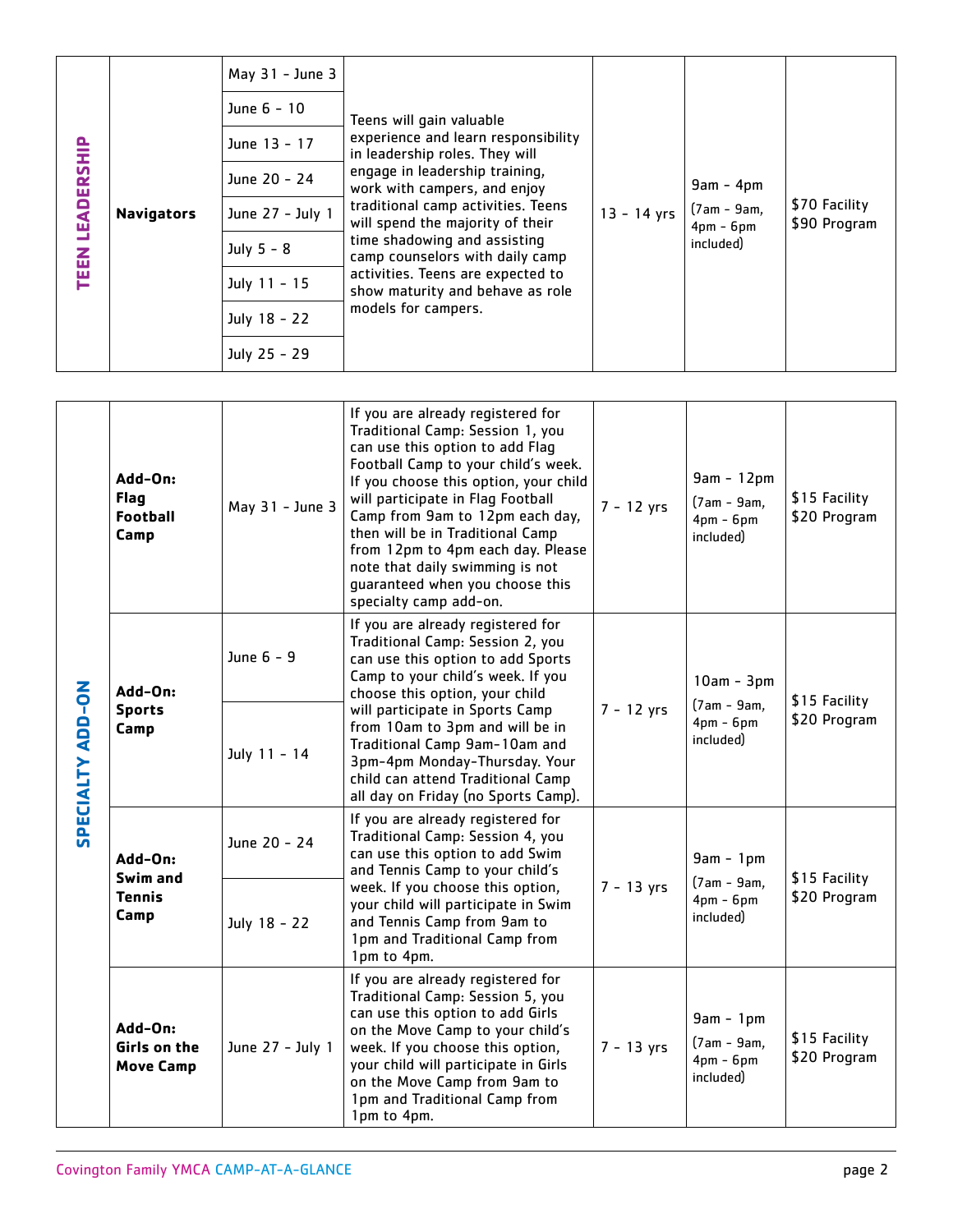| LEADERSHIP<br><b>TEEN</b> | <b>Navigators</b> | May 31 - June 3<br>June 6 - 10<br>June 13 - 17<br>June 20 - 24<br>June 27 - July 1<br>July $5 - 8$<br>July 11 - 15<br>July 18 - 22<br>July 25 - 29 | Teens will gain valuable<br>experience and learn responsibility<br>in leadership roles. They will<br>engage in leadership training,<br>work with campers, and enjoy<br>traditional camp activities. Teens<br>will spend the majority of their<br>time shadowing and assisting<br>camp counselors with daily camp<br>activities. Teens are expected to<br>show maturity and behave as role<br>models for campers. | $13 - 14$ yrs | $9am - 4pm$<br>$(7am - 9am,$<br>$4pm - 6pm$<br>included) | \$70 Facility<br>\$90 Program |
|---------------------------|-------------------|----------------------------------------------------------------------------------------------------------------------------------------------------|------------------------------------------------------------------------------------------------------------------------------------------------------------------------------------------------------------------------------------------------------------------------------------------------------------------------------------------------------------------------------------------------------------------|---------------|----------------------------------------------------------|-------------------------------|
|---------------------------|-------------------|----------------------------------------------------------------------------------------------------------------------------------------------------|------------------------------------------------------------------------------------------------------------------------------------------------------------------------------------------------------------------------------------------------------------------------------------------------------------------------------------------------------------------------------------------------------------------|---------------|----------------------------------------------------------|-------------------------------|

| <b>TEEN LEADERSHIP</b>                                  | <b>Navigators</b>                                 | June 13 - 17<br>June 20 - 24<br>June 27 - July 1<br>July $5 - 8$<br>July 11 - 15<br>July 18 - 22<br>July 25 - 29 | experience and learn responsibility.<br>in leadership roles. They will<br>engage in leadership training,<br>work with campers, and enjoy<br>traditional camp activities. Teens<br>will spend the majority of their<br>time shadowing and assisting<br>camp counselors with daily camp<br>activities. Teens are expected to<br>show maturity and behave as role<br>models for campers.                                                     | $13 - 14$ yrs | $9am - 4pm$<br>$(7am - 9am,$<br>$4pm - 6pm$<br>included)  | \$70 Facility<br>\$90 Program |
|---------------------------------------------------------|---------------------------------------------------|------------------------------------------------------------------------------------------------------------------|-------------------------------------------------------------------------------------------------------------------------------------------------------------------------------------------------------------------------------------------------------------------------------------------------------------------------------------------------------------------------------------------------------------------------------------------|---------------|-----------------------------------------------------------|-------------------------------|
|                                                         |                                                   |                                                                                                                  |                                                                                                                                                                                                                                                                                                                                                                                                                                           |               |                                                           |                               |
| PECIALTY ADD-ON                                         | Add-On:<br><b>Flag</b><br><b>Football</b><br>Camp | May 31 - June 3                                                                                                  | If you are already registered for<br>Traditional Camp: Session 1, you<br>can use this option to add Flag<br>Football Camp to your child's week.<br>If you choose this option, your child<br>will participate in Flag Football<br>Camp from 9am to 12pm each day,<br>then will be in Traditional Camp<br>from 12pm to 4pm each day. Please<br>note that daily swimming is not<br>guaranteed when you choose this<br>specialty camp add-on. | $7 - 12$ yrs  | $9am - 12pm$<br>$(7am - 9am,$<br>$4pm - 6pm$<br>included) | \$15 Facility<br>\$20 Program |
|                                                         | Add-On:<br><b>Sports</b><br>Camp                  | June 6 - 9<br>July 11 - 14                                                                                       | If you are already registered for<br>Traditional Camp: Session 2, you<br>can use this option to add Sports<br>Camp to your child's week. If you<br>choose this option, your child<br>will participate in Sports Camp<br>from 10am to 3pm and will be in<br>Traditional Camp 9am-10am and<br>3pm-4pm Monday-Thursday. Your                                                                                                                 | $7 - 12$ yrs  | $10am - 3pm$<br>$(7am - 9am,$<br>$4pm - 6pm$<br>included) | \$15 Facility<br>\$20 Program |
|                                                         |                                                   |                                                                                                                  | child can attend Traditional Camp<br>all day on Friday (no Sports Camp).                                                                                                                                                                                                                                                                                                                                                                  |               |                                                           |                               |
| n                                                       | Add-On:<br>Swim and<br><b>Tennis</b><br>Camp      | June 20 - 24                                                                                                     | If you are already registered for<br>Traditional Camp: Session 4, you<br>can use this option to add Swim<br>and Tennis Camp to your child's                                                                                                                                                                                                                                                                                               |               | $9am - 1pm$                                               | \$15 Facility                 |
|                                                         |                                                   | July 18 - 22                                                                                                     | week. If you choose this option,<br>your child will participate in Swim<br>and Tennis Camp from 9am to<br>1pm and Traditional Camp from<br>1pm to 4pm.                                                                                                                                                                                                                                                                                    | $7 - 13$ yrs  | $(7am - 9am,$<br>$4pm - 6pm$<br>included)                 | \$20 Program                  |
|                                                         | Add-On:<br>Girls on the<br><b>Move Camp</b>       | June 27 - July 1                                                                                                 | If you are already registered for<br>Traditional Camp: Session 5, you<br>can use this option to add Girls<br>on the Move Camp to your child's<br>week. If you choose this option,<br>your child will participate in Girls<br>on the Move Camp from 9am to<br>1pm and Traditional Camp from<br>1pm to 4pm.                                                                                                                                 | $7 - 13$ yrs  | $9am - 1pm$<br>$(7am - 9am,$<br>$4pm - 6pm$<br>included)  | \$15 Facility<br>\$20 Program |
| <b>Covington Family YMCA CAMP-AT-A-GLANCE</b><br>page 2 |                                                   |                                                                                                                  |                                                                                                                                                                                                                                                                                                                                                                                                                                           |               |                                                           |                               |